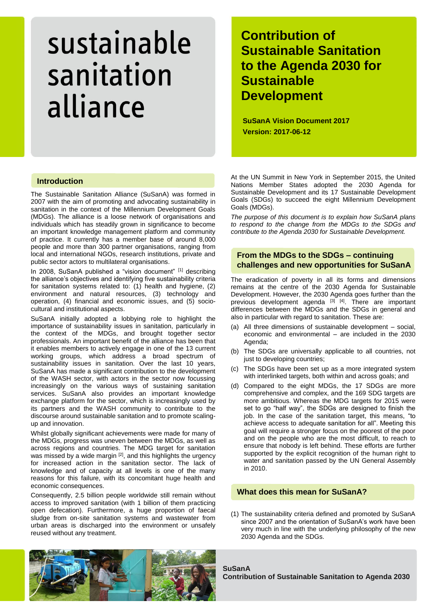# **Contribution of Sustainable Sanitation to the Agenda 2030 for Sustainable Development**

**SuSanA Vision Document 2017 Version: 2017-06-12**

## **Introduction**

The Sustainable Sanitation Alliance (SuSanA) was formed in 2007 with the aim of promoting and advocating sustainability in sanitation in the context of the Millennium Development Goals (MDGs). The alliance is a loose network of organisations and individuals which has steadily grown in significance to become an important knowledge management platform and community of practice. It currently has a member base of around 8,000 people and more than 300 partner organisations, ranging from local and international NGOs, research institutions, private and public sector actors to multilateral organisations.

In 2008, SuSanA published a "vision document" [1] describing the alliance's objectives and identifying five sustainability criteria for sanitation systems related to: (1) health and hygiene, (2) environment and natural resources, (3) technology and operation, (4) financial and economic issues, and (5) sociocultural and institutional aspects.

SuSanA initially adopted a lobbying role to highlight the importance of sustainability issues in sanitation, particularly in the context of the MDGs, and brought together sector professionals. An important benefit of the alliance has been that it enables members to actively engage in one of the 13 current working groups, which address a broad spectrum of sustainability issues in sanitation. Over the last 10 years, SuSanA has made a significant contribution to the development of the WASH sector, with actors in the sector now focussing increasingly on the various ways of sustaining sanitation services. SuSanA also provides an important knowledge exchange platform for the sector, which is increasingly used by its partners and the WASH community to contribute to the discourse around sustainable sanitation and to promote scalingup and innovation.

Whilst globally significant achievements were made for many of the MDGs, progress was uneven between the MDGs, as well as across regions and countries. The MDG target for sanitation was missed by a wide margin  $[2]$ , and this highlights the urgency for increased action in the sanitation sector. The lack of knowledge and of capacity at all levels is one of the many reasons for this failure, with its concomitant huge health and economic consequences.

Consequently, 2.5 billion people worldwide still remain without access to improved sanitation (with 1 billion of them practicing open defecation). Furthermore, a huge proportion of faecal sludge from on-site sanitation systems and wastewater from urban areas is discharged into the environment or unsafely reused without any treatment.

At the UN Summit in New York in September 2015, the United Nations Member States adopted the 2030 Agenda for Sustainable Development and its 17 Sustainable Development Goals (SDGs) to succeed the eight Millennium Development Goals (MDGs).

*The purpose of this document is to explain how SuSanA plans to respond to the change from the MDGs to the SDGs and contribute to the Agenda 2030 for Sustainable Development.*

## **From the MDGs to the SDGs – continuing challenges and new opportunities for SuSanA**

The eradication of poverty in all its forms and dimensions remains at the centre of the 2030 Agenda for Sustainable Development. However, the 2030 Agenda goes further than the previous development agenda [3] [4]. There are important differences between the MDGs and the SDGs in general and also in particular with regard to sanitation. These are:

- (a) All three dimensions of sustainable development social, economic and environmental – are included in the 2030 Agenda:
- (b) The SDGs are universally applicable to all countries, not just to developing countries;
- (c) The SDGs have been set up as a more integrated system with interlinked targets, both within and across goals; and
- (d) Compared to the eight MDGs, the 17 SDGs are more comprehensive and complex, and the 169 SDG targets are more ambitious. Whereas the MDG targets for 2015 were set to go "half way", the SDGs are designed to finish the job. In the case of the sanitation target, this means, "to achieve access to adequate sanitation for all". Meeting this goal will require a stronger focus on the poorest of the poor and on the people who are the most difficult, to reach to ensure that nobody is left behind. These efforts are further supported by the explicit recognition of the human right to water and sanitation passed by the UN General Assembly in 2010.

## **What does this mean for SuSanA?**

(1) The sustainability criteria defined and promoted by SuSanA since 2007 and the orientation of SuSanA's work have been very much in line with the underlying philosophy of the new 2030 Agenda and the SDGs.



**SuSanA Contribution of Sustainable Sanitation to Agenda 2030**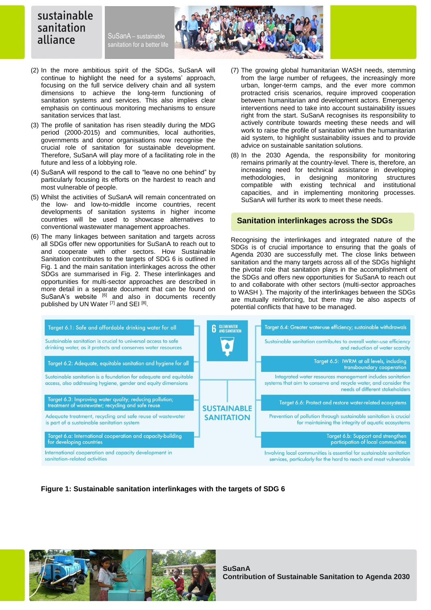SuSanA - sustainable sanitation for a better life



- (2) In the more ambitious spirit of the SDGs, SuSanA will continue to highlight the need for a systems' approach, focusing on the full service delivery chain and all system dimensions to achieve the long-term functioning of sanitation systems and services. This also implies clear emphasis on continuous monitoring mechanisms to ensure sanitation services that last.
- (3) The profile of sanitation has risen steadily during the MDG period (2000-2015) and communities, local authorities, governments and donor organisations now recognise the crucial role of sanitation for sustainable development. Therefore, SuSanA will play more of a facilitating role in the future and less of a lobbying role.
- (4) SuSanA will respond to the call to "leave no one behind" by particularly focusing its efforts on the hardest to reach and most vulnerable of people.
- (5) Whilst the activities of SuSanA will remain concentrated on the low- and low-to-middle income countries, recent developments of sanitation systems in higher income countries will be used to showcase alternatives to conventional wastewater management approaches.
- (6) The many linkages between sanitation and targets across all SDGs offer new opportunities for SuSanA to reach out to and cooperate with other sectors. How Sustainable Sanitation contributes to the targets of SDG 6 is outlined in Fig. 1 and the main sanitation interlinkages across the other SDGs are summarised in Fig. 2. These interlinkages and opportunities for multi-sector approaches are described in more detail in a separate document that can be found on SuSanA's website [6] and also in documents recently published by UN Water [7] and SEI [8].
- (7) The growing global humanitarian WASH needs, stemming from the large number of refugees, the increasingly more urban, longer-term camps, and the ever more common protracted crisis scenarios, require improved cooperation between humanitarian and development actors. Emergency interventions need to take into account sustainability issues right from the start. SuSanA recognises its responsibility to actively contribute towards meeting these needs and will work to raise the profile of sanitation within the humanitarian aid system, to highlight sustainability issues and to provide advice on sustainable sanitation solutions.
- (8) In the 2030 Agenda, the responsibility for monitoring remains primarily at the country-level. There is, therefore, an increasing need for technical assistance in developing methodologies, in designing monitoring structures compatible with existing technical and institutional capacities, and in implementing monitoring processes. SuSanA will further its work to meet these needs.

#### **Sanitation interlinkages across the SDGs**

Recognising the interlinkages and integrated nature of the SDGs is of crucial importance to ensuring that the goals of Agenda 2030 are successfully met. The close links between sanitation and the many targets across all of the SDGs highlight the pivotal role that sanitation plays in the accomplishment of the SDGs and offers new opportunities for SuSanA to reach out to and collaborate with other sectors (multi-sector approaches to WASH ). The majority of the interlinkages between the SDGs are mutually reinforcing, but there may be also aspects of potential conflicts that have to be managed.



**Figure 1: Sustainable sanitation interlinkages with the targets of SDG 6**



**SuSanA Contribution of Sustainable Sanitation to Agenda 2030**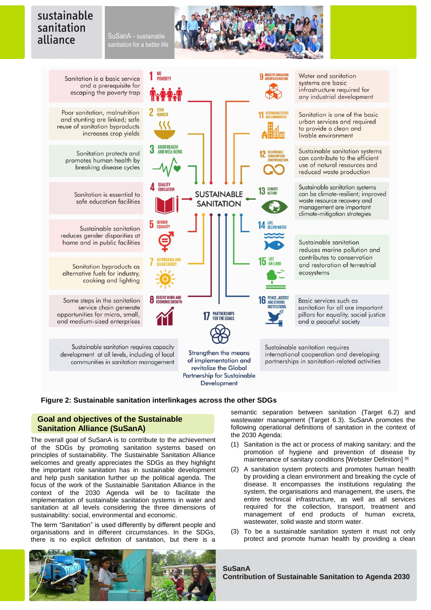SuSanA - sustainable sanitation for a better life

い

**GOOD HEALTH<br>AND WELL-BEING** 

4 QUALITY

5 GENDER

**8** DECENT WORK AND



 $11$  SUSTA

13 GLIMATE

15

**PEACE, JUSTICE** 

**AND STRONG NETITUTIONS** 

Sanitation is a basic service and a prerequisite for

Poor sanitation, malnutrition and stunting are linked; safe reuse of sanitation byproducts increases crop yields

> Sanitation protects and promotes human health by breaking disease cycles

> > Sanitation is essential to safe education facilities

Sustainable sanitation reduces gender disparities at home and in public facilities

Sanitation byproducts as alternative fuels for industry, cooking and lighting

Some steps in the sanitation service chain generate opportunities for micro, small, and medium-sized enterprises

Sustainable sanitation requires capacity development at all levels, including of local communities in sanitation management

**17 PARTNERSHIPS** Strengthen the means of implementation and revitalize the Global

Partnership for Sustainable Development

**SUSTAINABLE** 

**SANITATION** 

Water and sanitation systems are basic infrastructure required for any industrial development

Sanitation is one of the basic urban services and required to provide a clean and livable environment

Sustainable sanitation systems can contribute to the efficient use of natural resources and reduced waste production

Sustainable sanitation systems can be climate-resilient; improved waste resource recovery and management are important climate-mitigation strategies

Sustainable sanitation reduces marine pollution and contributes to conservation and restoration of terrestrial ecosystems

Basic services such as sanitation for all are important pillars for equality, social justice and a peaceful society

Sustainable sanitation requires international cooperation and developing partnerships in sanitation-related activities

### **Figure 2: Sustainable sanitation interlinkages across the other SDGs**

## **Goal and objectives of the Sustainable Sanitation Alliance (SuSanA)**

The overall goal of SuSanA is to contribute to the achievement of the SDGs by promoting sanitation systems based on principles of sustainability. The Sustainable Sanitation Alliance welcomes and greatly appreciates the SDGs as they highlight the important role sanitation has in sustainable development and help push sanitation further up the political agenda. The focus of the work of the Sustainable Sanitation Alliance in the context of the 2030 Agenda will be to facilitate the implementation of sustainable sanitation systems in water and sanitation at all levels considering the three dimensions of sustainability: social, environmental and economic.

The term "Sanitation" is used differently by different people and organisations and in different circumstances. In the SDGs, there is no explicit definition of sanitation, but there is a



semantic separation between sanitation (Target 6.2) and wastewater management (Target 6.3). SuSanA promotes the following operational definitions of sanitation in the context of the 2030 Agenda:

- (1) Sanitation is the act or process of making sanitary; and the promotion of hygiene and prevention of disease by maintenance of sanitary conditions [Webster Definition] [9]
- (2) A sanitation system protects and promotes human health by providing a clean environment and breaking the cycle of disease. It encompasses the institutions regulating the system, the organisations and management, the users, the entire technical infrastructure, as well as all services required for the collection, transport, treatment and management of end products of human excreta, wastewater, solid waste and storm water.
- (3) To be a sustainable sanitation system it must not only protect and promote human health by providing a clean

# **SuSanA**

**Contribution of Sustainable Sanitation to Agenda 2030**